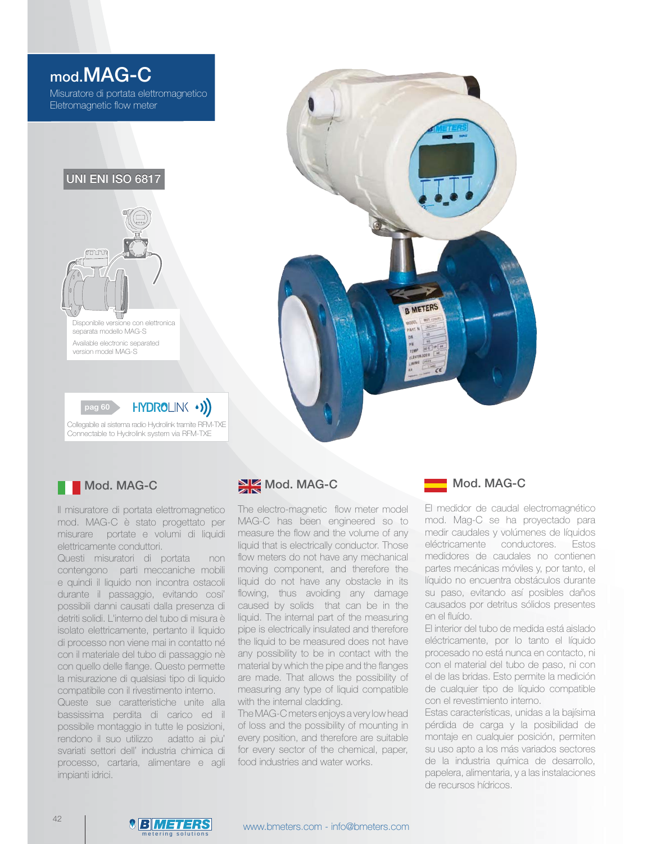# mod.MAG-C

Misuratore di portata elettromagnetico Eletromagnetic flow meter







## Mod. MAG-C

Il misuratore di portata elettromagnetico mod. MAG-C è stato progettato per misurare portate e volumi di liquidi elettricamente conduttori.

Questi misuratori di portata non contengono parti meccaniche mobili e quindi il liquido non incontra ostacoli durante il passaggio, evitando cosi' possibili danni causati dalla presenza di detriti solidi. L'interno del tubo di misura è isolato elettricamente, pertanto il liquido di processo non viene mai in contatto né con il materiale del tubo di passaggio nè con quello delle flange. Questo permette la misurazione di qualsiasi tipo di liquido compatibile con il rivestimento interno.

Queste sue caratteristiche unite alla bassissima perdita di carico ed il possibile montaggio in tutte le posizioni, rendono il suo utilizzo adatto ai piu' svariati settori dell' industria chimica di processo, cartaria, alimentare e agli impianti idrici.

# Mod. MAG-C

The electro-magnetic flow meter model MAG-C has been engineered so to measure the flow and the volume of any liquid that is electrically conductor. Those flow meters do not have any mechanical moving component, and therefore the liquid do not have any obstacle in its flowing, thus avoiding any damage caused by solids that can be in the liquid. The internal part of the measuring pipe is electrically insulated and therefore the liquid to be measured does not have any possibility to be in contact with the material by which the pipe and the flanges are made. That allows the possibility of measuring any type of liquid compatible with the internal cladding.

The MAG-C meters enjoys a very low head of loss and the possibility of mounting in every position, and therefore are suitable for every sector of the chemical, paper, food industries and water works.

### Mod. MAG-C

El medidor de caudal electromagnético mod. Mag-C se ha proyectado para medir caudales y volúmenes de líquidos eléctricamente conductores. Estos medidores de caudales no contienen partes mecánicas móviles y, por tanto, el líquido no encuentra obstáculos durante su paso, evitando así posibles daños causados por detritus sólidos presentes en el fluído.

El interior del tubo de medida está aislado eléctricamente, por lo tanto el líquido procesado no está nunca en contacto, ni con el material del tubo de paso, ni con el de las bridas. Esto permite la medición de cualquier tipo de líquido compatible con el revestimiento interno.

Estas características, unidas a la bajísima pérdida de carga y la posibilidad de montaje en cualquier posición, permiten su uso apto a los más variados sectores de la industria química de desarrollo, papelera, alimentaria, y a las instalaciones de recursos hídricos.